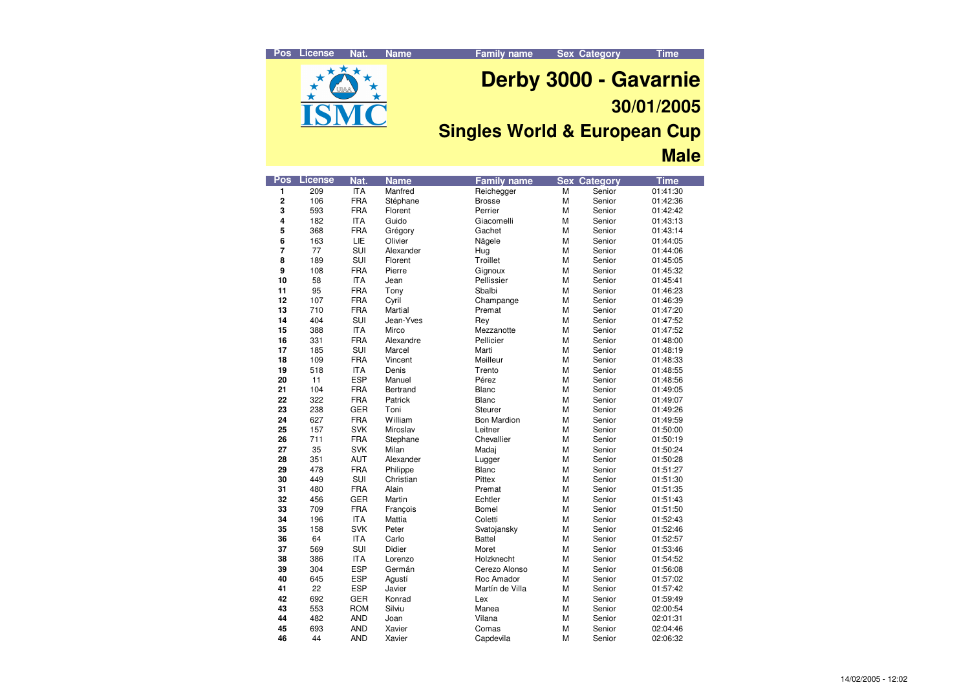**Family name Sex Category Time**



# **Derby 3000 - Gavarnie 30/01/2005**

### **Singles World & European Cup Male**

| Pos            | License | Nat.       | <b>Name</b> | <b>Family name</b> |                | <b>Sex Category</b> | <b>Time</b> |
|----------------|---------|------------|-------------|--------------------|----------------|---------------------|-------------|
| 1              | 209     | ITA        | Manfred     | Reichegger         | $\overline{M}$ | Senior              | 01:41:30    |
| 2              | 106     | <b>FRA</b> | Stéphane    | <b>Brosse</b>      | М              | Senior              | 01:42:36    |
| 3              | 593     | <b>FRA</b> | Florent     | Perrier            | M              | Senior              | 01:42:42    |
| 4              | 182     | <b>ITA</b> | Guido       | Giacomelli         | M              | Senior              | 01:43:13    |
| 5              | 368     | <b>FRA</b> | Grégory     | Gachet             | М              | Senior              | 01:43:14    |
| 6              | 163     | LIE        | Olivier     | Nägele             | M              | Senior              | 01:44:05    |
| $\overline{7}$ | 77      | SUI        | Alexander   | Hug                | М              | Senior              | 01:44:06    |
| 8              | 189     | SUI        | Florent     | Troillet           | M              | Senior              | 01:45:05    |
| 9              | 108     | <b>FRA</b> | Pierre      | Gignoux            | M              | Senior              | 01:45:32    |
| 10             | 58      | <b>ITA</b> | Jean        | Pellissier         | M              | Senior              | 01:45:41    |
| 11             | 95      | <b>FRA</b> | Tony        | Sbalbi             | M              | Senior              | 01:46:23    |
| 12             | 107     | <b>FRA</b> | Cyril       | Champange          | М              | Senior              | 01:46:39    |
| 13             | 710     | <b>FRA</b> | Martial     | Premat             | М              | Senior              | 01:47:20    |
| 14             | 404     | SUI        | Jean-Yves   | Rey                | M              | Senior              | 01:47:52    |
| 15             | 388     | <b>ITA</b> | Mirco       | Mezzanotte         | M              | Senior              | 01:47:52    |
| 16             | 331     | <b>FRA</b> | Alexandre   | Pellicier          | M              | Senior              | 01:48:00    |
| 17             | 185     | SUI        | Marcel      | Marti              | М              | Senior              | 01:48:19    |
| 18             | 109     | <b>FRA</b> | Vincent     | Meilleur           | M              | Senior              | 01:48:33    |
| 19             | 518     | <b>ITA</b> | Denis       | Trento             | М              | Senior              | 01:48:55    |
| 20             | 11      | <b>ESP</b> | Manuel      | Pérez              | М              | Senior              | 01:48:56    |
| 21             | 104     | <b>FRA</b> | Bertrand    | Blanc              | M              | Senior              | 01:49:05    |
| 22             | 322     | <b>FRA</b> | Patrick     | Blanc              | М              | Senior              | 01:49:07    |
| 23             | 238     | <b>GER</b> | Toni        | Steurer            | М              | Senior              | 01:49:26    |
| 24             | 627     | <b>FRA</b> | William     | <b>Bon Mardion</b> | M              | Senior              | 01:49:59    |
| 25             | 157     | <b>SVK</b> | Miroslav    | Leitner            | М              | Senior              | 01:50:00    |
| 26             | 711     | <b>FRA</b> | Stephane    | Chevallier         | М              | Senior              | 01:50:19    |
| 27             | 35      | <b>SVK</b> | Milan       | Madaj              | M              | Senior              | 01:50:24    |
| 28             | 351     | <b>AUT</b> | Alexander   | Lugger             | М              | Senior              | 01:50:28    |
| 29             | 478     | <b>FRA</b> | Philippe    | Blanc              | M              | Senior              | 01:51:27    |
| 30             | 449     | SUI        | Christian   | Pittex             | М              | Senior              | 01:51:30    |
| 31             | 480     | <b>FRA</b> | Alain       | Premat             | М              | Senior              | 01:51:35    |
| 32             | 456     | GER        | Martin      | Echtler            | M              | Senior              | 01:51:43    |
| 33             | 709     | FRA        | Francois    | Bomel              | M              | Senior              | 01:51:50    |
| 34             | 196     | <b>ITA</b> | Mattia      | Coletti            | M              | Senior              | 01:52:43    |
| 35             | 158     | <b>SVK</b> | Peter       | Svatojansky        | M              | Senior              | 01:52:46    |
| 36             | 64      | <b>ITA</b> | Carlo       | Battel             | М              | Senior              | 01:52:57    |
| 37             | 569     | SUI        | Didier      | Moret              | M              | Senior              | 01:53:46    |
| 38             | 386     | <b>ITA</b> | Lorenzo     | Holzknecht         | M              | Senior              | 01:54:52    |
| 39             | 304     | <b>ESP</b> | Germán      | Cerezo Alonso      | М              | Senior              | 01:56:08    |
| 40             | 645     | <b>ESP</b> | Agustí      | Roc Amador         | M              | Senior              | 01:57:02    |
| 41             | 22      | <b>ESP</b> | Javier      | Martín de Villa    | М              | Senior              | 01:57:42    |
| 42             | 692     | GER        | Konrad      | Lex                | М              | Senior              | 01:59:49    |
| 43             | 553     | <b>ROM</b> | Silviu      | Manea              | M              | Senior              | 02:00:54    |
| 44             | 482     | <b>AND</b> | Joan        | Vilana             | М              | Senior              | 02:01:31    |
| 45             | 693     | <b>AND</b> | Xavier      | Comas              | М              | Senior              | 02:04:46    |
| 46             | 44      | <b>AND</b> | Xavier      | Capdevila          | M              | Senior              | 02:06:32    |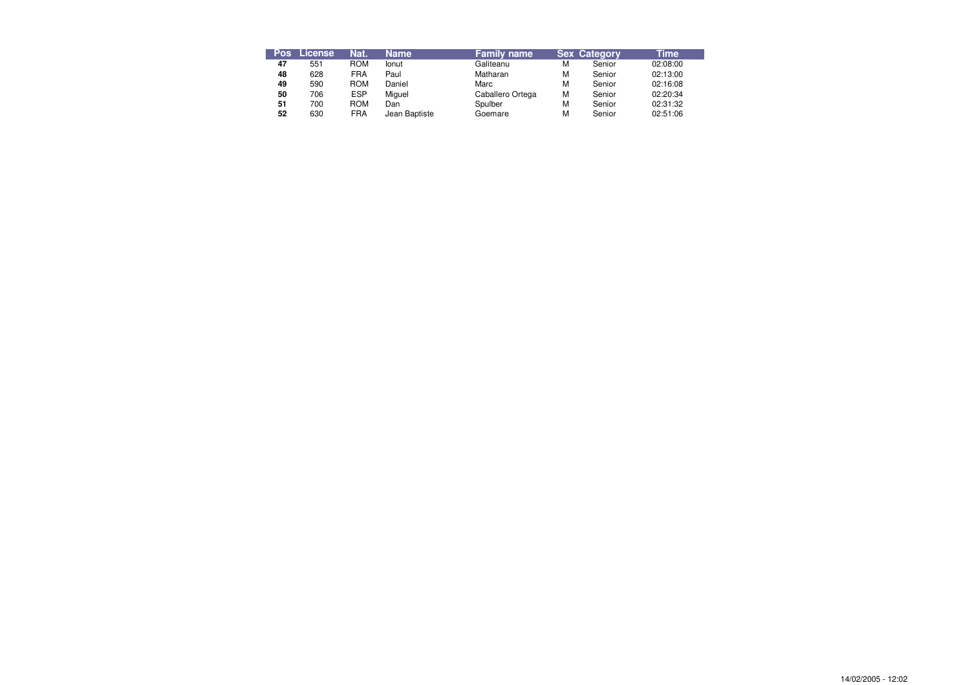| <b>Pos</b> | License | Nat.       | <b>Name</b>   | <b>Family name</b> |   | <b>Sex Category</b> | Time     |
|------------|---------|------------|---------------|--------------------|---|---------------------|----------|
| 47         | 551     | <b>ROM</b> | lonut         | Galiteanu          | м | Senior              | 02:08:00 |
| 48         | 628     | <b>FRA</b> | Paul          | Matharan           | M | Senior              | 02:13:00 |
| 49         | 590     | <b>ROM</b> | Daniel        | Marc               | M | Senior              | 02:16:08 |
| 50         | 706     | <b>ESP</b> | Miguel        | Caballero Ortega   | М | Senior              | 02:20:34 |
| 51         | 700     | <b>ROM</b> | Dan           | Spulber            | М | Senior              | 02:31:32 |
| 52         | 630     | <b>FRA</b> | Jean Baptiste | Goemare            | М | Senior              | 02:51:06 |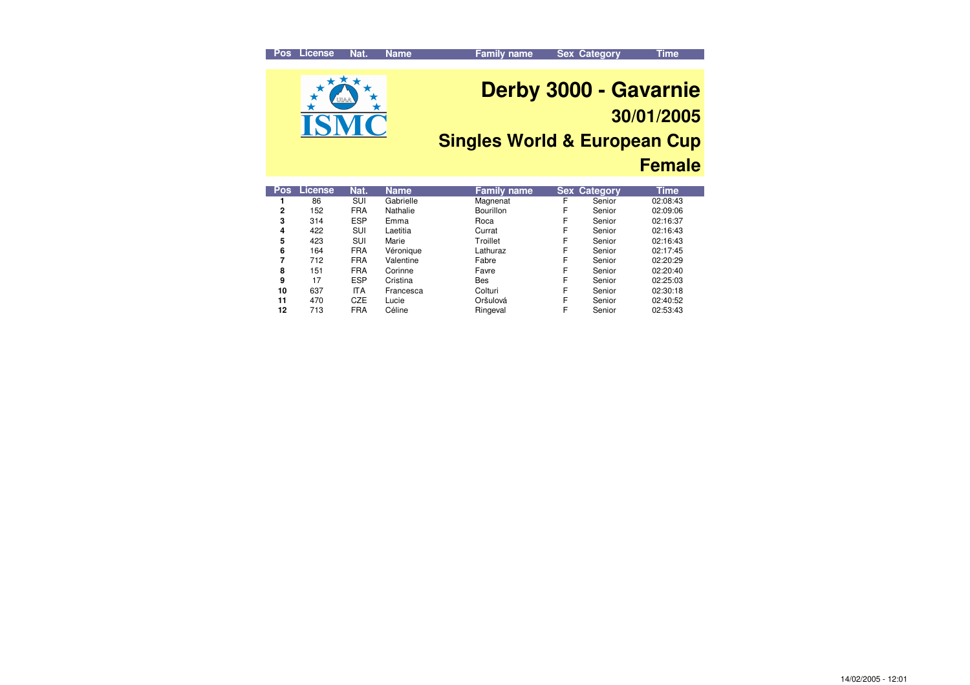#### **Pos License Nat.Nat.** Name **Family name Sex Category Time Derby 3000 - Gavarnie 30/01/2005 Singles World & European Cup Female**

| <b>Pos</b> | License | Nat.       | <b>Name</b> | <b>Family name</b> |   | <b>Sex Category</b> | Time     |
|------------|---------|------------|-------------|--------------------|---|---------------------|----------|
|            | 86      | SUI        | Gabrielle   | Magnenat           | F | Senior              | 02:08:43 |
| 2          | 152     | <b>FRA</b> | Nathalie    | Bourillon          | F | Senior              | 02:09:06 |
| 3          | 314     | <b>ESP</b> | Emma        | Roca               | F | Senior              | 02:16:37 |
| 4          | 422     | <b>SUI</b> | Laetitia    | Currat             | F | Senior              | 02:16:43 |
| 5          | 423     | SUI        | Marie       | Troillet           | F | Senior              | 02:16:43 |
| 6          | 164     | <b>FRA</b> | Véronique   | Lathuraz           | F | Senior              | 02:17:45 |
| 7          | 712     | <b>FRA</b> | Valentine   | Fabre              | F | Senior              | 02:20:29 |
| 8          | 151     | <b>FRA</b> | Corinne     | Favre              | F | Senior              | 02:20:40 |
| 9          | 17      | <b>ESP</b> | Cristina    | <b>Bes</b>         | F | Senior              | 02:25:03 |
| 10         | 637     | ITA        | Francesca   | Colturi            | F | Senior              | 02:30:18 |
| 11         | 470     | <b>CZE</b> | Lucie       | Oršulová           | F | Senior              | 02:40:52 |
| 12         | 713     | <b>FRA</b> | Céline      | Ringeval           | F | Senior              | 02:53:43 |